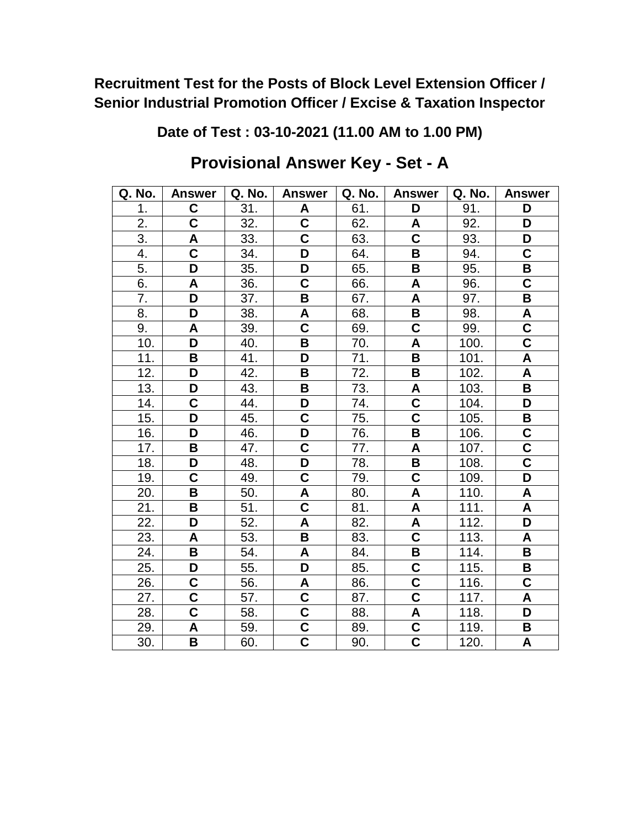**Date of Test : 03-10-2021 (11.00 AM to 1.00 PM)**

| Q. No. | <b>Answer</b>           | Q. No. | <b>Answer</b>           | Q. No. | <b>Answer</b>           | Q. No. | <b>Answer</b>           |
|--------|-------------------------|--------|-------------------------|--------|-------------------------|--------|-------------------------|
| 1.     | C                       | 31.    | A                       | 61.    | D                       | 91.    | D                       |
| 2.     | $\overline{\mathsf{c}}$ | 32.    | $\overline{\mathsf{C}}$ | 62.    | A                       | 92.    | D                       |
| 3.     | A                       | 33.    | $\overline{\mathbf{c}}$ | 63.    | $\overline{\mathsf{c}}$ | 93.    | D                       |
| 4.     | $\overline{\mathbf{C}}$ | 34.    | D                       | 64.    | B                       | 94.    | C                       |
| 5.     | D                       | 35.    | D                       | 65.    | B                       | 95.    | B                       |
| 6.     | A                       | 36.    | C                       | 66.    | A                       | 96.    | C                       |
| 7.     | D                       | 37.    | B                       | 67.    | A                       | 97.    | B                       |
| 8.     | D                       | 38.    | A                       | 68.    | B                       | 98.    | A                       |
| 9.     | A                       | 39.    | C                       | 69.    | $\mathbf C$             | 99.    | $\overline{\mathsf{c}}$ |
| 10.    | D                       | 40.    | B                       | 70.    | A                       | 100.   | $\overline{\mathsf{C}}$ |
| 11.    | B                       | 41.    | D                       | 71.    | B                       | 101.   | A                       |
| 12.    | D                       | 42.    | B                       | 72.    | B                       | 102.   | $\mathsf{A}$            |
| 13.    | D                       | 43.    | В                       | 73.    | A                       | 103.   | В                       |
| 14.    | $\mathbf C$             | 44.    | D                       | 74.    | C                       | 104.   | D                       |
| 15.    | D                       | 45.    | C                       | 75.    | $\overline{\textbf{C}}$ | 105.   | B                       |
| 16.    | D                       | 46.    | D                       | 76.    | B                       | 106.   | $\mathbf C$             |
| 17.    | B                       | 47.    | Ć                       | 77.    | A                       | 107.   | C                       |
| 18.    | D                       | 48.    | D                       | 78.    | B                       | 108.   | $\overline{\mathsf{C}}$ |
| 19.    | $\mathbf C$             | 49.    | $\overline{\mathbf{C}}$ | 79.    | $\overline{\mathsf{C}}$ | 109.   | D                       |
| 20.    | B                       | 50.    | A                       | 80.    | A                       | 110.   | A                       |
| 21.    | B                       | 51.    | $\overline{\mathsf{c}}$ | 81.    | $\boldsymbol{A}$        | 111.   | A                       |
| 22.    | D                       | 52.    | A                       | 82.    | A                       | 112.   | D                       |
| 23.    | A                       | 53.    | B                       | 83.    | $\overline{\mathbf{C}}$ | 113.   | A                       |
| 24.    | В                       | 54.    | A                       | 84.    | В                       | 114.   | B                       |
| 25.    | D                       | 55.    | D                       | 85.    | $\overline{\mathsf{C}}$ | 115.   | B                       |
| 26.    | C                       | 56.    | A                       | 86.    | $\overline{\textbf{C}}$ | 116.   | $\overline{\mathsf{C}}$ |
| 27.    | C                       | 57.    | C                       | 87.    | $\overline{\textbf{c}}$ | 117.   | A                       |
| 28.    | $\overline{\mathsf{C}}$ | 58.    | $\overline{\mathsf{c}}$ | 88.    | A                       | 118.   | D                       |
| 29.    | A                       | 59.    | C                       | 89.    | C                       | 119.   | В                       |
| 30.    | B                       | 60.    | $\overline{\mathbf{c}}$ | 90.    | $\overline{\textbf{C}}$ | 120.   | A                       |

## **Provisional Answer Key - Set - A**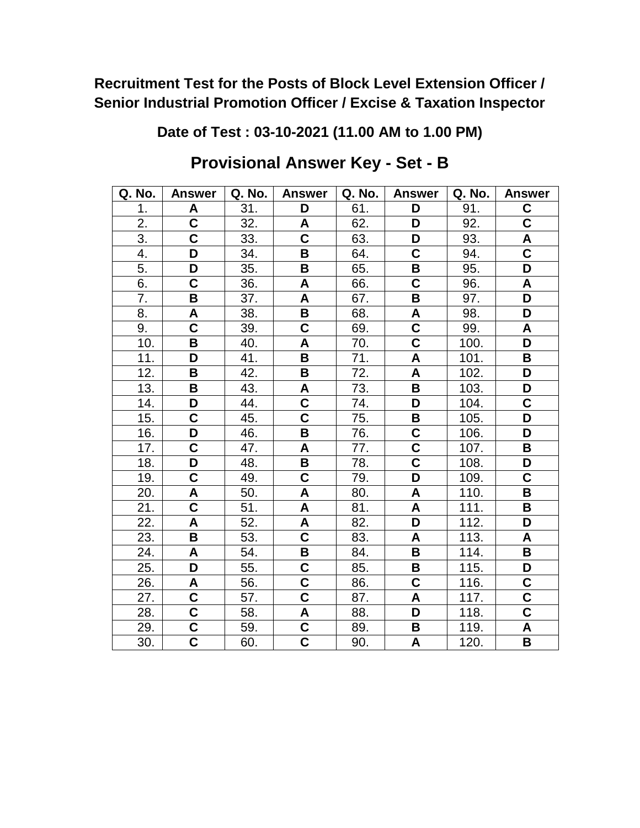**Date of Test : 03-10-2021 (11.00 AM to 1.00 PM)**

| Q. No. | <b>Answer</b>           | Q. No. | <b>Answer</b>           | Q. No. | <b>Answer</b>           | Q. No. | <b>Answer</b>           |
|--------|-------------------------|--------|-------------------------|--------|-------------------------|--------|-------------------------|
| 1.     | A                       | 31.    | D                       | 61.    | D                       | 91.    | C                       |
| 2.     | $\overline{\mathsf{c}}$ | 32.    | A                       | 62.    | D                       | 92.    | $\overline{\mathsf{C}}$ |
| 3.     | C                       | 33.    | C                       | 63.    | D                       | 93.    | A                       |
| 4.     | D                       | 34.    | B                       | 64.    | C                       | 94.    | $\overline{\mathsf{C}}$ |
| 5.     | D                       | 35.    | B                       | 65.    | B                       | 95.    | D                       |
| 6.     | $\overline{\mathsf{C}}$ | 36.    | A                       | 66.    | $\overline{\mathsf{C}}$ | 96.    | A                       |
| 7.     | B                       | 37.    | A                       | 67.    | B                       | 97.    | D                       |
| 8.     | A                       | 38.    | B                       | 68.    | A                       | 98.    | D                       |
| 9.     | $\mathbf C$             | 39.    | $\mathbf C$             | 69.    | $\mathbf C$             | 99.    | A                       |
| 10.    | B                       | 40.    | Α                       | 70.    | $\overline{\textbf{C}}$ | 100.   | D                       |
| 11.    | D                       | 41.    | B                       | 71.    | A                       | 101.   | B                       |
| 12.    | B                       | 42.    | B                       | 72.    | A                       | 102.   | D                       |
| 13.    | B                       | 43.    | A                       | 73.    | $\overline{\mathbf{B}}$ | 103.   | D                       |
| 14.    | D                       | 44.    | $\overline{\mathbf{C}}$ | 74.    | D                       | 104.   | C                       |
| 15.    | $\overline{\mathsf{C}}$ | 45.    | $\overline{\mathsf{c}}$ | 75.    | B                       | 105.   | D                       |
| 16.    | D                       | 46.    | B                       | 76.    | C                       | 106.   | D                       |
| 17.    | C                       | 47.    | A                       | 77.    | $\overline{\textbf{C}}$ | 107.   | B                       |
| 18.    | D                       | 48.    | B                       | 78.    | $\overline{\textbf{C}}$ | 108.   | D                       |
| 19.    | $\mathbf C$             | 49.    | $\mathbf C$             | 79.    | D                       | 109.   | C                       |
| 20.    | A                       | 50.    | A                       | 80.    | A                       | 110.   | B                       |
| 21.    | $\overline{\mathbf{C}}$ | 51.    | A                       | 81.    | A                       | 111.   | B                       |
| 22.    | A                       | 52.    | A                       | 82.    | D                       | 112.   | D                       |
| 23.    | B                       | 53.    | $\overline{\mathsf{c}}$ | 83.    | A                       | 113.   | A                       |
| 24.    | A                       | 54.    | В                       | 84.    | B                       | 114.   | В                       |
| 25.    | D                       | 55.    | $\overline{\mathbf{C}}$ | 85.    | B                       | 115.   | D                       |
| 26.    | A                       | 56.    | $\overline{\mathsf{C}}$ | 86.    | C                       | 116.   | C                       |
| 27.    | $\overline{\mathsf{C}}$ | 57.    | $\overline{\textbf{c}}$ | 87.    | A                       | 117.   | $\overline{\mathbf{c}}$ |
| 28.    | $\overline{\mathsf{c}}$ | 58.    | A                       | 88.    | D                       | 118.   | $\overline{\textbf{C}}$ |
| 29.    | C                       | 59.    | $\overline{c}$          | 89.    | В                       | 119.   | A                       |
| 30.    | $\overline{\textbf{C}}$ | 60.    | $\overline{\mathbf{c}}$ | 90.    | A                       | 120.   | B                       |

## **Provisional Answer Key - Set - B**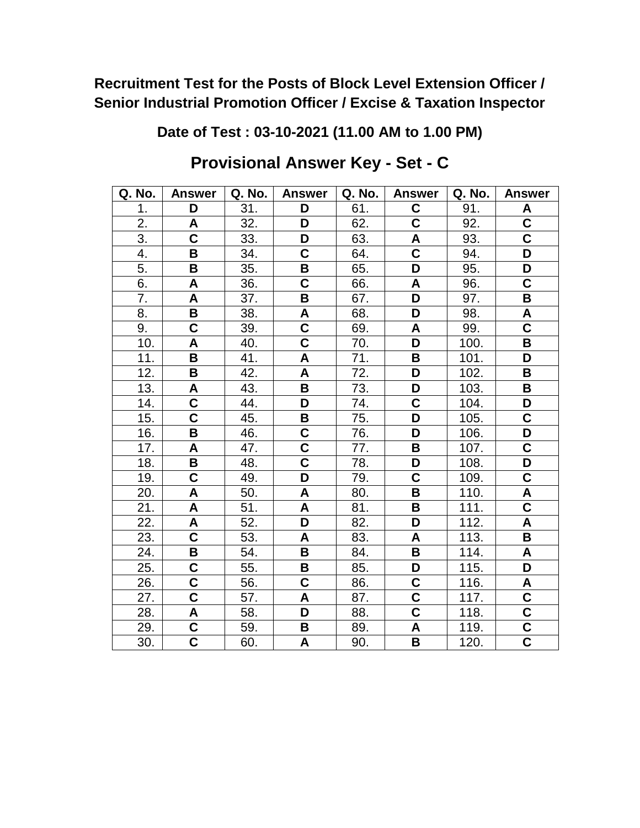**Date of Test : 03-10-2021 (11.00 AM to 1.00 PM)**

| Q. No. | <b>Answer</b>           | Q. No. | <b>Answer</b>           | Q. No. | <b>Answer</b>           | Q. No. | <b>Answer</b>           |
|--------|-------------------------|--------|-------------------------|--------|-------------------------|--------|-------------------------|
| 1.     | D                       | 31.    | D                       | 61.    | C                       | 91.    | A                       |
| 2.     | A                       | 32.    | D                       | 62.    | C                       | 92.    | $\mathbf C$             |
| 3.     | $\overline{\mathsf{c}}$ | 33.    | D                       | 63.    | A                       | 93.    | $\overline{\mathsf{C}}$ |
| 4.     | В                       | 34.    | C                       | 64.    | C                       | 94.    | D                       |
| 5.     | $\overline{\mathbf{B}}$ | 35.    | B                       | 65.    | D                       | 95.    | D                       |
| 6.     | A                       | 36.    | $\overline{\mathbf{C}}$ | 66.    | A                       | 96.    | $\overline{\textbf{C}}$ |
| 7.     | A                       | 37.    | B                       | 67.    | D                       | 97.    | B                       |
| 8.     | B                       | 38.    | A                       | 68.    | D                       | 98.    | A                       |
| 9.     | $\mathbf C$             | 39.    | C                       | 69.    | A                       | 99.    | $\mathbf C$             |
| 10.    | A                       | 40.    | $\overline{\mathsf{C}}$ | 70.    | D                       | 100.   | B                       |
| 11.    | B                       | 41.    | A                       | 71.    | B                       | 101.   | D                       |
| 12.    | B                       | 42.    | A                       | 72.    | D                       | 102.   | B                       |
| 13.    | A                       | 43.    | B                       | 73.    | D                       | 103.   | B                       |
| 14.    | C                       | 44.    | D                       | 74.    | $\mathbf C$             | 104.   | D                       |
| 15.    | $\overline{\textbf{C}}$ | 45.    | B                       | 75.    | D                       | 105.   | $\overline{\mathsf{C}}$ |
| 16.    | B                       | 46.    | C                       | 76.    | D                       | 106.   | D                       |
| 17.    | A                       | 47.    | $\overline{\mathsf{c}}$ | 77.    | B                       | 107.   | $\overline{\textbf{C}}$ |
| 18.    | $\overline{\mathbf{B}}$ | 48.    | $\overline{\mathbf{C}}$ | 78.    | D                       | 108.   | D                       |
| 19.    | C                       | 49.    | D                       | 79.    | C                       | 109.   | $\mathbf C$             |
| 20.    | A                       | 50.    | $\pmb{\mathsf{A}}$      | 80.    | B                       | 110.   | A                       |
| 21.    | $\mathsf{A}$            | 51.    | A                       | 81.    | B                       | 111.   | $\overline{\textbf{C}}$ |
| 22.    | A                       | 52.    | D                       | 82.    | D                       | 112.   | A                       |
| 23.    | $\overline{\textbf{C}}$ | 53.    | A                       | 83.    | A                       | 113.   | $\overline{\mathbf{B}}$ |
| 24.    | B                       | 54.    | B                       | 84.    | B                       | 114.   | A                       |
| 25.    | $\overline{\mathbf{C}}$ | 55.    | B                       | 85.    | D                       | 115.   | D                       |
| 26.    | C                       | 56.    | C                       | 86.    | C                       | 116.   | A                       |
| 27.    | $\overline{\mathsf{C}}$ | 57.    | A                       | 87.    | $\overline{\mathsf{C}}$ | 117.   | $\mathbf C$             |
| 28.    | A                       | 58.    | D                       | 88.    | $\overline{\textbf{C}}$ | 118.   | $\overline{\mathsf{C}}$ |
| 29.    | C                       | 59.    | В                       | 89.    | A                       | 119.   | C                       |
| 30.    | $\overline{\mathsf{c}}$ | 60.    | A                       | 90.    | B                       | 120.   | $\overline{\mathsf{c}}$ |

**Provisional Answer Key - Set - C**